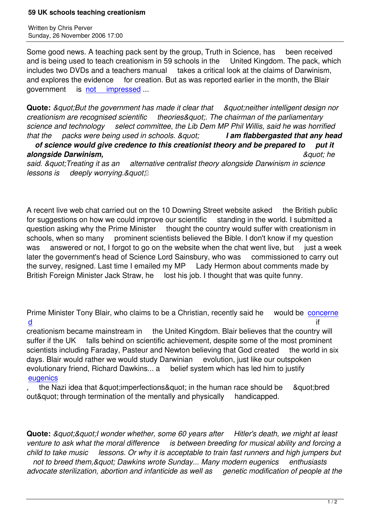Some good news. A teaching pack sent by the group, Truth in Science, has been received and is being used to teach creationism in 59 schools in the United Kingdom. The pack, which includes two DVDs and a teachers manual takes a critical look at the claims of Darwinism, and explores the evidence for creation. But as was reported earlier in the month, the Blair government is not impressed ...

**Quote:** *"But the government has made it clear that "neither intelligent design nor creationism are r[ecognised scientif](http://education.guardian.co.uk/schools/story/0,,1957858,00.html)ic theories". The chairman of the parliamentary science and technology select committee, the Lib Dem MP Phil Willis, said he was horrified that the packs were being used in schools. " I am flabbergasted that any head*

 *of science would give credence to this creationist theory and be prepared to put it* **alongside Darwinism,**  $\alpha$  **here**  $\alpha$  **here**  $\alpha$  **here**  $\alpha$  **here**  $\alpha$  **here**  $\alpha$  **here**  $\alpha$  **here**  $\alpha$  **here**  $\alpha$  **here**  $\alpha$  **here**  $\alpha$  **here**  $\alpha$  **here**  $\alpha$  **here**  $\alpha$  **here**  $\alpha$  **here**  $\alpha$  **here**  $\alpha$  **h** said. & *quot*; Treating it as an alternative centralist theory alongside Darwinism in science

*lessons is deeply worrying. & quot*.

A recent live web chat carried out on the 10 Downing Street website asked the British public for suggestions on how we could improve our scientific standing in the world. I submitted a question asking why the Prime Minister thought the country would suffer with creationism in schools, when so many prominent scientists believed the Bible. I don't know if my question was answered or not, I forgot to go on the website when the chat went live, but just a week later the government's head of Science Lord Sainsbury, who was commissioned to carry out the survey, resigned. Last time I emailed my MP Lady Hermon about comments made by British Foreign Minister Jack Straw, he lost his job. I thought that was quite funny.

Prime Minister Tony Blair, who claims to be a Christian, recently said he would be concerne <u>d</u> if the contract of the contract of the contract of the contract of the contract of the contract of the contract of the contract of the contract of the contract of the contract of the contract of the contract of the con

creationism became mainstream in the United Kingdom. Blair believes that the country will suffer if the UK falls behind on scientific achievement, despite some of the most prominent [sc](nov06.html#11-2-1)ientists including Faraday, Pasteur and Newton believing that God created the world in six days. Blair would rather we would study Darwinian evolution, just like our outspoken evolutionary friend, Richard Dawkins... a belief system which has led him to justify eugenics

the Nazi idea that & quot; imperfections & quot; in the human race should be a quot; bred out" through termination of the mentally and physically handicapped.

**Quote:** *&guot;&guot;I wonder whether, some 60 years after Hitler's death, we might at least venture to ask what the moral difference is between breeding for musical ability and forcing a child to take music lessons. Or why it is acceptable to train fast runners and high jumpers but*  not to breed them, & quot; Dawkins wrote Sunday... Many modern eugenics enthusiasts *advocate sterilization, abortion and infanticide as well as genetic modification of people at the*